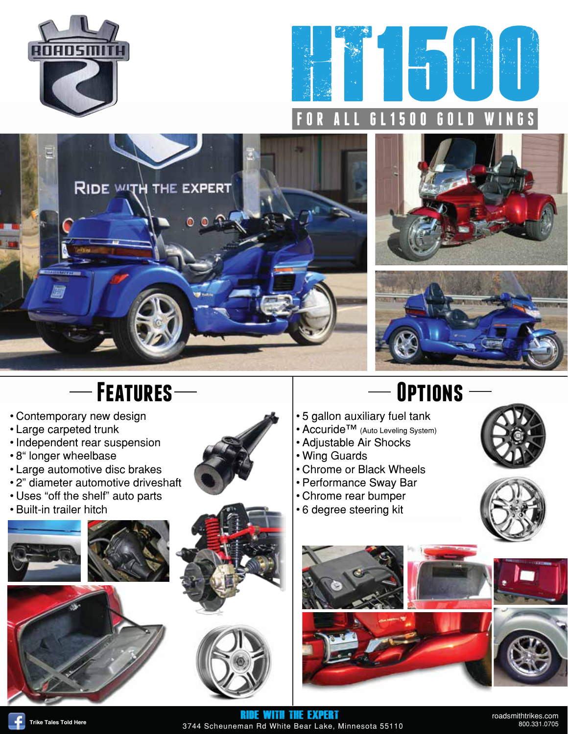









## $-$  **Features**  $-$  **DPTIONS**

- Contemporary new design
- Large carpeted trunk
- Independent rear suspension
- 8" longer wheelbase
- Large automotive disc brakes
- 2" diameter automotive driveshaft
- Uses "off the shelf" auto parts
- Built-in trailer hitch









- 5 gallon auxiliary fuel tank
- Accuride™ (Auto Leveling System)
- Adjustable Air Shocks
- Wing Guards
- Chrome or Black Wheels
- Performance Sway Bar
- Chrome rear bumper
- 6 degree steering kit